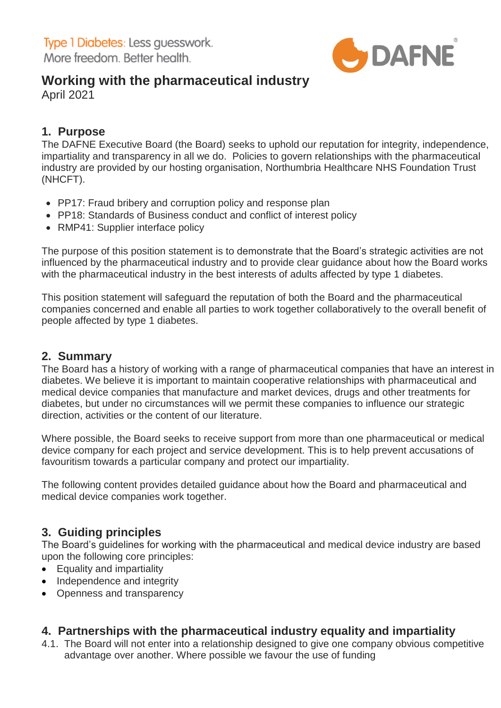

# **Working with the pharmaceutical industry**

April 2021

## **1. Purpose**

The DAFNE Executive Board (the Board) seeks to uphold our reputation for integrity, independence, impartiality and transparency in all we do. Policies to govern relationships with the pharmaceutical industry are provided by our hosting organisation, Northumbria Healthcare NHS Foundation Trust (NHCFT).

- PP17: Fraud bribery and corruption policy and response plan
- PP18: Standards of Business conduct and conflict of interest policy
- RMP41: Supplier interface policy

The purpose of this position statement is to demonstrate that the Board's strategic activities are not influenced by the pharmaceutical industry and to provide clear guidance about how the Board works with the pharmaceutical industry in the best interests of adults affected by type 1 diabetes.

This position statement will safeguard the reputation of both the Board and the pharmaceutical companies concerned and enable all parties to work together collaboratively to the overall benefit of people affected by type 1 diabetes.

### **2. Summary**

The Board has a history of working with a range of pharmaceutical companies that have an interest in diabetes. We believe it is important to maintain cooperative relationships with pharmaceutical and medical device companies that manufacture and market devices, drugs and other treatments for diabetes, but under no circumstances will we permit these companies to influence our strategic direction, activities or the content of our literature.

Where possible, the Board seeks to receive support from more than one pharmaceutical or medical device company for each project and service development. This is to help prevent accusations of favouritism towards a particular company and protect our impartiality.

The following content provides detailed guidance about how the Board and pharmaceutical and medical device companies work together.

### **3. Guiding principles**

The Board's guidelines for working with the pharmaceutical and medical device industry are based upon the following core principles:

- Equality and impartiality
- Independence and integrity
- Openness and transparency

### **4. Partnerships with the pharmaceutical industry equality and impartiality**

4.1. The Board will not enter into a relationship designed to give one company obvious competitive advantage over another. Where possible we favour the use of funding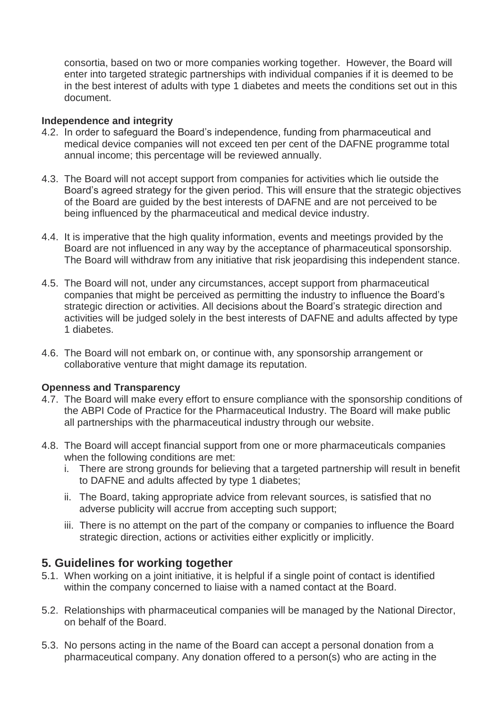consortia, based on two or more companies working together. However, the Board will enter into targeted strategic partnerships with individual companies if it is deemed to be in the best interest of adults with type 1 diabetes and meets the conditions set out in this document.

#### **Independence and integrity**

- 4.2. In order to safeguard the Board's independence, funding from pharmaceutical and medical device companies will not exceed ten per cent of the DAFNE programme total annual income; this percentage will be reviewed annually.
- 4.3. The Board will not accept support from companies for activities which lie outside the Board's agreed strategy for the given period. This will ensure that the strategic objectives of the Board are guided by the best interests of DAFNE and are not perceived to be being influenced by the pharmaceutical and medical device industry.
- 4.4. It is imperative that the high quality information, events and meetings provided by the Board are not influenced in any way by the acceptance of pharmaceutical sponsorship. The Board will withdraw from any initiative that risk jeopardising this independent stance.
- 4.5. The Board will not, under any circumstances, accept support from pharmaceutical companies that might be perceived as permitting the industry to influence the Board's strategic direction or activities. All decisions about the Board's strategic direction and activities will be judged solely in the best interests of DAFNE and adults affected by type 1 diabetes.
- 4.6. The Board will not embark on, or continue with, any sponsorship arrangement or collaborative venture that might damage its reputation.

#### **Openness and Transparency**

- 4.7. The Board will make every effort to ensure compliance with the sponsorship conditions of the ABPI Code of Practice for the Pharmaceutical Industry. The Board will make public all partnerships with the pharmaceutical industry through our website.
- 4.8. The Board will accept financial support from one or more pharmaceuticals companies when the following conditions are met:
	- i. There are strong grounds for believing that a targeted partnership will result in benefit to DAFNE and adults affected by type 1 diabetes;
	- ii. The Board, taking appropriate advice from relevant sources, is satisfied that no adverse publicity will accrue from accepting such support;
	- iii. There is no attempt on the part of the company or companies to influence the Board strategic direction, actions or activities either explicitly or implicitly.

### **5. Guidelines for working together**

- 5.1. When working on a joint initiative, it is helpful if a single point of contact is identified within the company concerned to liaise with a named contact at the Board.
- 5.2. Relationships with pharmaceutical companies will be managed by the National Director, on behalf of the Board.
- 5.3. No persons acting in the name of the Board can accept a personal donation from a pharmaceutical company. Any donation offered to a person(s) who are acting in the